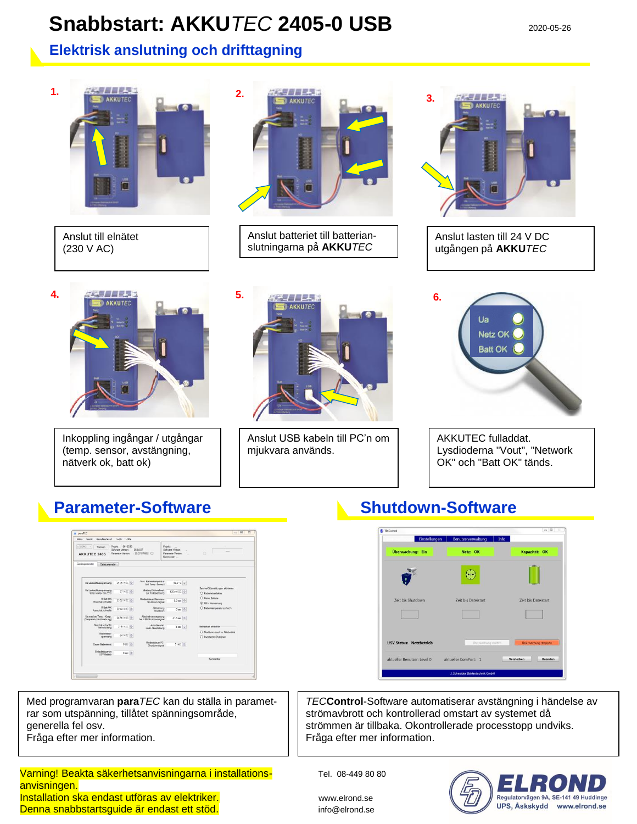# **Snabbstart: AKKU** *TEC* **2405-0 USB**  $2020-05-26$

### **Elektrisk anslutning och drifttagning**



| Gerät<br><b>Benutzerlayed</b><br>Datei                                                                                                       | Hill's<br>Teels |                                                                     |                                                                                           |                                                          |
|----------------------------------------------------------------------------------------------------------------------------------------------|-----------------|---------------------------------------------------------------------|-------------------------------------------------------------------------------------------|----------------------------------------------------------|
| $ s $ coves $+$<br>Projekt 0616G10<br>Trennen<br>Selfazion Version:<br>05.08.07<br>20 07:07 802<br>Parameter Version:<br><b>AKKUTEC 2405</b> |                 |                                                                     | Projekt:<br>$\sim$<br>Softsone Version:<br>$\sim$<br>Parameter Ventory<br>w<br>Kommentar: | n                                                        |
| Geniteparameter<br>Dateguaraneter                                                                                                            |                 |                                                                     |                                                                                           |                                                          |
| Lla Ladeschlusspannung                                                                                                                       | 26,76 V DC 01   | May Ratterietementsky                                               | 45,2 °C (-0)                                                                              |                                                          |
| Us Ladeschiussepannung<br>temp 4gmp bei 25°C                                                                                                 | 27 V DC +       | Int Terro -Sensor)<br><b>Abstand Schoolwert</b><br>air Teldspannung | 120 mV DC   0                                                                             | Sammel-Störmeidungen aktivieren<br>C Battenekonighetian  |
| <b>U</b> Ret OK<br>Finankalterkwalle                                                                                                         | 23.52 V DC +    | Mindestideuer Klemmen-<br>Shutdown-Signal                           | $0.2$ sec $\div$                                                                          | C Keine Battene<br>C UB < Vorwarrung                     |
| U Ret OK<br>Ausschaftschweile                                                                                                                | 22.44 V DC 0-1  | Aktivienung.<br><b>Quarters</b>                                     | $0$ sec $\frac{1}{2}$                                                                     | C: Battenderrowsstur zu hoch                             |
| Us max bei Temp - Korro<br>(Tenoeratumachfuehrung)                                                                                           | 28.56 V DC +    | Abscheltverzoegen.ng<br>bei USB-Shutdownsignal                      | 41,6 sec   0                                                                              |                                                          |
| Abschaltschweile<br>Tiefertladung                                                                                                            | 21,6 V DC 101   | Auto Alected art<br>nach Abachaltung                                | $5$ sec $\left \frac{a}{b}\right $                                                        | Betriebsart einstellen<br>C Shutdown auch im Netzbetrieb |
| Rattwietest<br>spermang                                                                                                                      | 24 V DC 101     |                                                                     |                                                                                           | O Invetteter Shutdown                                    |
| Dauer Batterieset                                                                                                                            | $0$ sec $-2$    | Mindestriauer PC<br>Subdownsignal                                   | 5 sec [0]                                                                                 |                                                          |
| Fettadedauer im<br><b>USV-Rentals</b>                                                                                                        | $0$ sec $  0  $ |                                                                     |                                                                                           |                                                          |
|                                                                                                                                              |                 |                                                                     |                                                                                           | Kommertje                                                |

Med programvaran **para***TEC* kan du ställa in parametrar som utspänning, tillåtet spänningsområde, generella fel osv.

Fråga efter mer information.

### Varning! Beakta säkerhetsanvisningarna i installations- Tel. 08-449 80 80 anvisningen. Installation ska endast utföras av elektriker. Www.elrond.se Denna snabbstartsguide är endast ett stöd. info@elrond.se

## **Parameter-Software Supplementary Construction Construction Parameter-Software**



*TEC***Control**-Software automatiserar avstängning i händelse av strömavbrott och kontrollerad omstart av systemet då strömmen är tillbaka. Okontrollerade processtopp undviks. Fråga efter mer information.